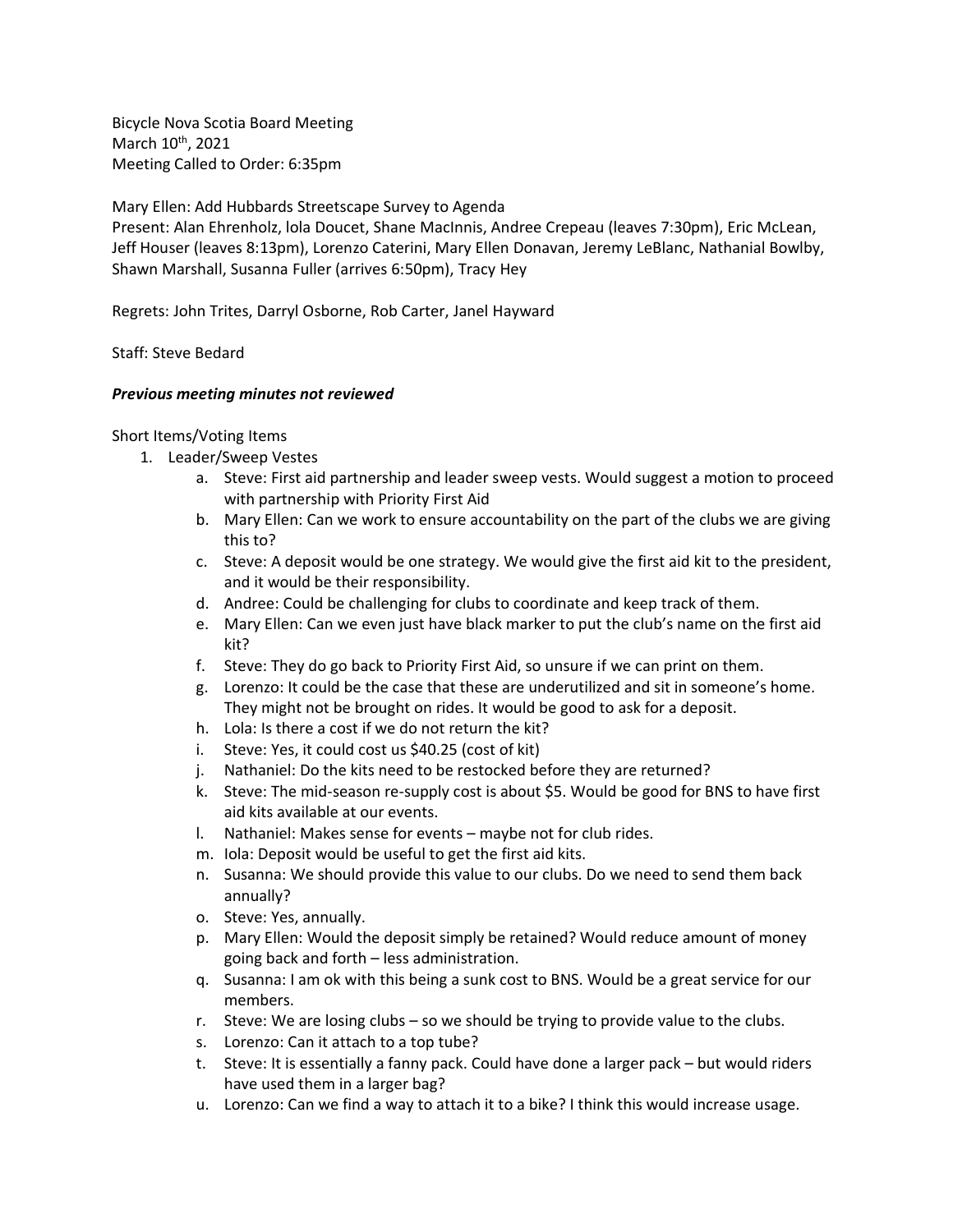Bicycle Nova Scotia Board Meeting March 10<sup>th</sup>, 2021 Meeting Called to Order: 6:35pm

Mary Ellen: Add Hubbards Streetscape Survey to Agenda

Present: Alan Ehrenholz, lola Doucet, Shane MacInnis, Andree Crepeau (leaves 7:30pm), Eric McLean, Jeff Houser (leaves 8:13pm), Lorenzo Caterini, Mary Ellen Donavan, Jeremy LeBlanc, Nathanial Bowlby, Shawn Marshall, Susanna Fuller (arrives 6:50pm), Tracy Hey

Regrets: John Trites, Darryl Osborne, Rob Carter, Janel Hayward

Staff: Steve Bedard

## *Previous meeting minutes not reviewed*

Short Items/Voting Items

- 1. Leader/Sweep Vestes
	- a. Steve: First aid partnership and leader sweep vests. Would suggest a motion to proceed with partnership with Priority First Aid
	- b. Mary Ellen: Can we work to ensure accountability on the part of the clubs we are giving this to?
	- c. Steve: A deposit would be one strategy. We would give the first aid kit to the president, and it would be their responsibility.
	- d. Andree: Could be challenging for clubs to coordinate and keep track of them.
	- e. Mary Ellen: Can we even just have black marker to put the club's name on the first aid kit?
	- f. Steve: They do go back to Priority First Aid, so unsure if we can print on them.
	- g. Lorenzo: It could be the case that these are underutilized and sit in someone's home. They might not be brought on rides. It would be good to ask for a deposit.
	- h. Lola: Is there a cost if we do not return the kit?
	- i. Steve: Yes, it could cost us \$40.25 (cost of kit)
	- j. Nathaniel: Do the kits need to be restocked before they are returned?
	- k. Steve: The mid-season re-supply cost is about \$5. Would be good for BNS to have first aid kits available at our events.
	- l. Nathaniel: Makes sense for events maybe not for club rides.
	- m. Iola: Deposit would be useful to get the first aid kits.
	- n. Susanna: We should provide this value to our clubs. Do we need to send them back annually?
	- o. Steve: Yes, annually.
	- p. Mary Ellen: Would the deposit simply be retained? Would reduce amount of money going back and forth – less administration.
	- q. Susanna: I am ok with this being a sunk cost to BNS. Would be a great service for our members.
	- r. Steve: We are losing clubs so we should be trying to provide value to the clubs.
	- s. Lorenzo: Can it attach to a top tube?
	- t. Steve: It is essentially a fanny pack. Could have done a larger pack but would riders have used them in a larger bag?
	- u. Lorenzo: Can we find a way to attach it to a bike? I think this would increase usage.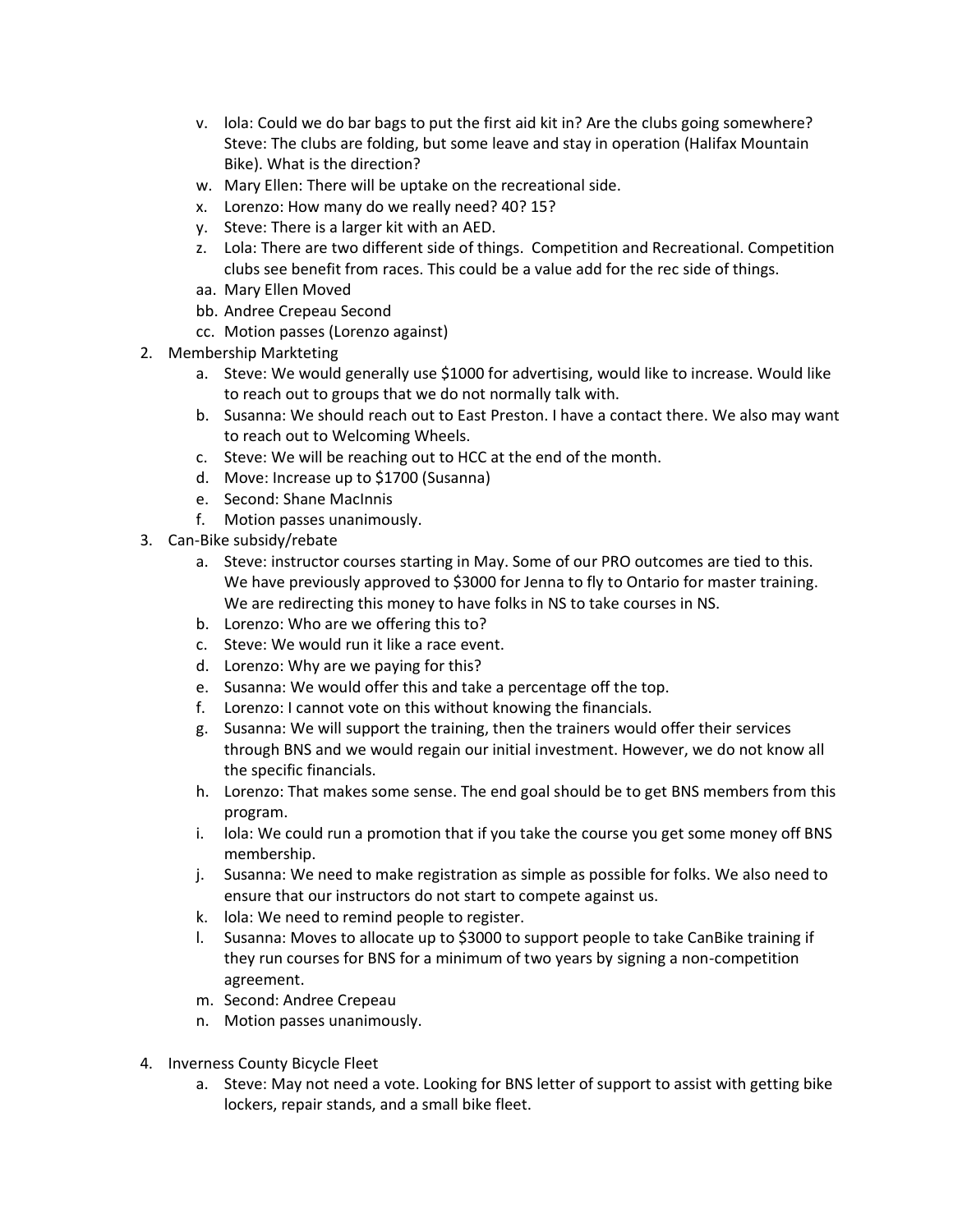- v. lola: Could we do bar bags to put the first aid kit in? Are the clubs going somewhere? Steve: The clubs are folding, but some leave and stay in operation (Halifax Mountain Bike). What is the direction?
- w. Mary Ellen: There will be uptake on the recreational side.
- x. Lorenzo: How many do we really need? 40? 15?
- y. Steve: There is a larger kit with an AED.
- z. Lola: There are two different side of things. Competition and Recreational. Competition clubs see benefit from races. This could be a value add for the rec side of things.
- aa. Mary Ellen Moved
- bb. Andree Crepeau Second
- cc. Motion passes (Lorenzo against)
- 2. Membership Markteting
	- a. Steve: We would generally use \$1000 for advertising, would like to increase. Would like to reach out to groups that we do not normally talk with.
	- b. Susanna: We should reach out to East Preston. I have a contact there. We also may want to reach out to Welcoming Wheels.
	- c. Steve: We will be reaching out to HCC at the end of the month.
	- d. Move: Increase up to \$1700 (Susanna)
	- e. Second: Shane MacInnis
	- f. Motion passes unanimously.
- 3. Can-Bike subsidy/rebate
	- a. Steve: instructor courses starting in May. Some of our PRO outcomes are tied to this. We have previously approved to \$3000 for Jenna to fly to Ontario for master training. We are redirecting this money to have folks in NS to take courses in NS.
	- b. Lorenzo: Who are we offering this to?
	- c. Steve: We would run it like a race event.
	- d. Lorenzo: Why are we paying for this?
	- e. Susanna: We would offer this and take a percentage off the top.
	- f. Lorenzo: I cannot vote on this without knowing the financials.
	- g. Susanna: We will support the training, then the trainers would offer their services through BNS and we would regain our initial investment. However, we do not know all the specific financials.
	- h. Lorenzo: That makes some sense. The end goal should be to get BNS members from this program.
	- i. lola: We could run a promotion that if you take the course you get some money off BNS membership.
	- j. Susanna: We need to make registration as simple as possible for folks. We also need to ensure that our instructors do not start to compete against us.
	- k. lola: We need to remind people to register.
	- l. Susanna: Moves to allocate up to \$3000 to support people to take CanBike training if they run courses for BNS for a minimum of two years by signing a non-competition agreement.
	- m. Second: Andree Crepeau
	- n. Motion passes unanimously.
- 4. Inverness County Bicycle Fleet
	- a. Steve: May not need a vote. Looking for BNS letter of support to assist with getting bike lockers, repair stands, and a small bike fleet.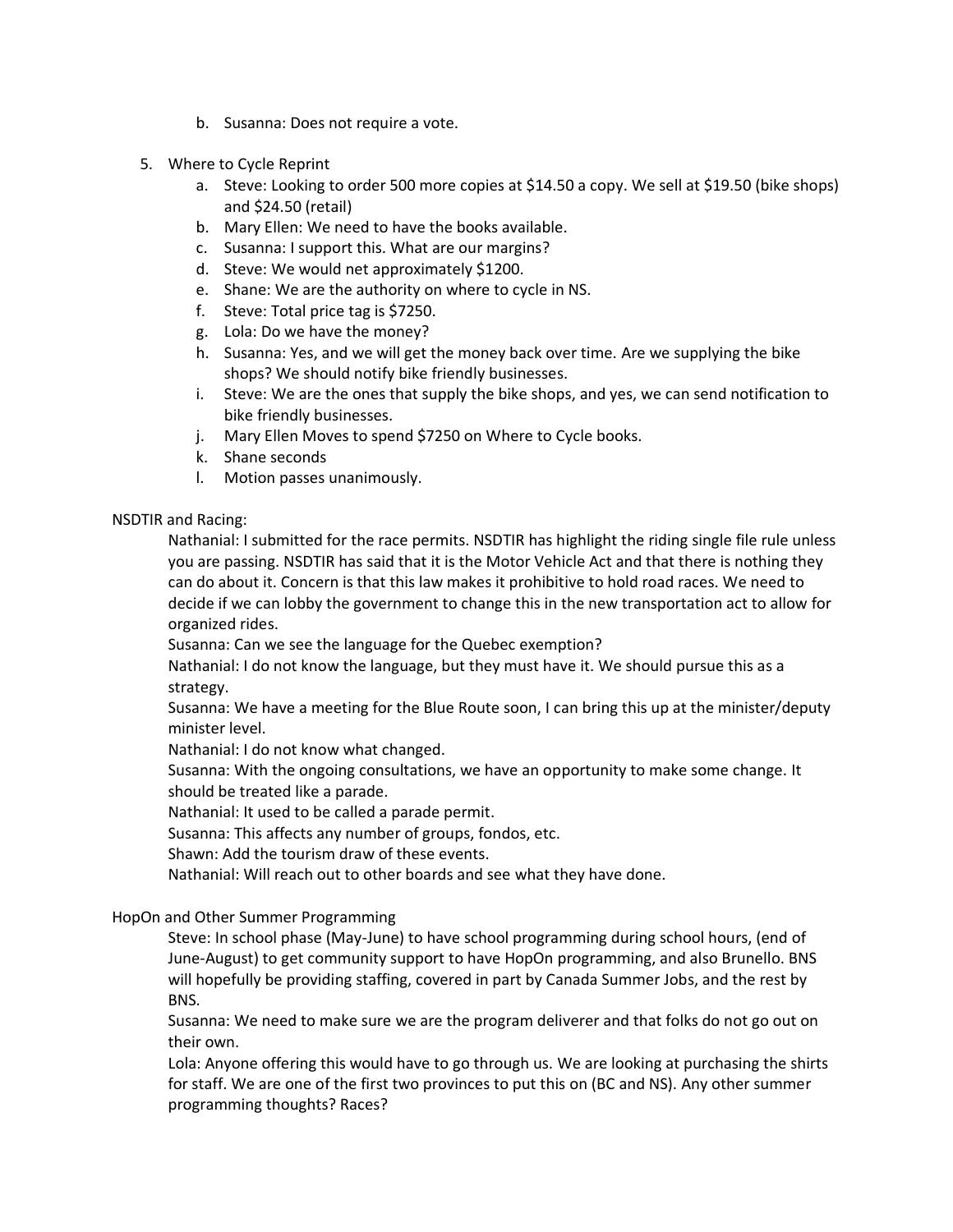- b. Susanna: Does not require a vote.
- 5. Where to Cycle Reprint
	- a. Steve: Looking to order 500 more copies at \$14.50 a copy. We sell at \$19.50 (bike shops) and \$24.50 (retail)
	- b. Mary Ellen: We need to have the books available.
	- c. Susanna: I support this. What are our margins?
	- d. Steve: We would net approximately \$1200.
	- e. Shane: We are the authority on where to cycle in NS.
	- f. Steve: Total price tag is \$7250.
	- g. Lola: Do we have the money?
	- h. Susanna: Yes, and we will get the money back over time. Are we supplying the bike shops? We should notify bike friendly businesses.
	- i. Steve: We are the ones that supply the bike shops, and yes, we can send notification to bike friendly businesses.
	- j. Mary Ellen Moves to spend \$7250 on Where to Cycle books.
	- k. Shane seconds
	- l. Motion passes unanimously.

## NSDTIR and Racing:

Nathanial: I submitted for the race permits. NSDTIR has highlight the riding single file rule unless you are passing. NSDTIR has said that it is the Motor Vehicle Act and that there is nothing they can do about it. Concern is that this law makes it prohibitive to hold road races. We need to decide if we can lobby the government to change this in the new transportation act to allow for organized rides.

Susanna: Can we see the language for the Quebec exemption?

Nathanial: I do not know the language, but they must have it. We should pursue this as a strategy.

Susanna: We have a meeting for the Blue Route soon, I can bring this up at the minister/deputy minister level.

Nathanial: I do not know what changed.

Susanna: With the ongoing consultations, we have an opportunity to make some change. It should be treated like a parade.

Nathanial: It used to be called a parade permit.

Susanna: This affects any number of groups, fondos, etc.

Shawn: Add the tourism draw of these events.

Nathanial: Will reach out to other boards and see what they have done.

HopOn and Other Summer Programming

Steve: In school phase (May-June) to have school programming during school hours, (end of June-August) to get community support to have HopOn programming, and also Brunello. BNS will hopefully be providing staffing, covered in part by Canada Summer Jobs, and the rest by BNS.

Susanna: We need to make sure we are the program deliverer and that folks do not go out on their own.

Lola: Anyone offering this would have to go through us. We are looking at purchasing the shirts for staff. We are one of the first two provinces to put this on (BC and NS). Any other summer programming thoughts? Races?